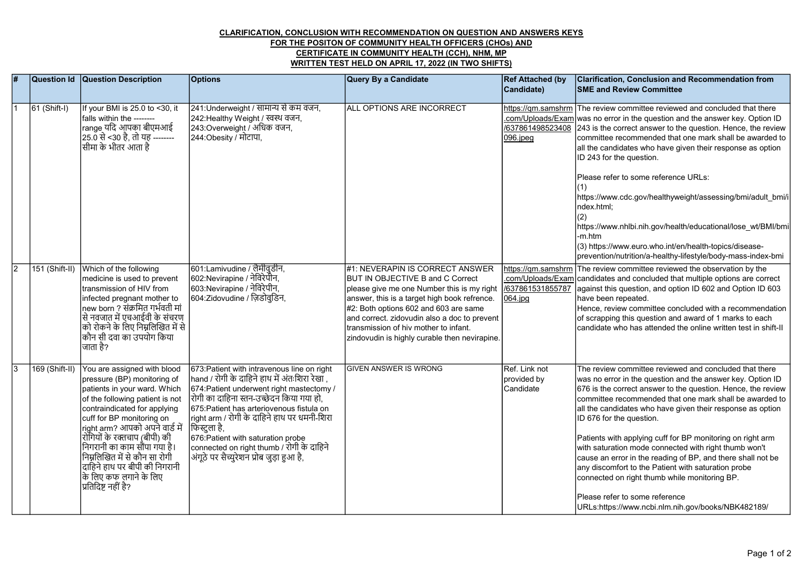## CLARIFICATION, CONCLUSION WITH RECOMMENDATION ON QUESTION AND ANSWERS KEYS FOR THE POSITON OF COMMUNITY HEALTH OFFICERS (CHOs) AND CERTIFICATE IN COMMUNITY HEALTH (CCH), NHM, MP WRITTEN TEST HELD ON APRIL 17, 2022 (IN TWO SHIFTS)

| $\overline{\boldsymbol{H}}$ | Question Id    | <b>Question Description</b>                                                                                                                                                                                                                                                                                                                                                                                         | <b>Options</b>                                                                                                                                                                                                                                                                                                                                                                                                                        | Query By a Candidate                                                                                                                                                                                                                                                                                                                                 | <b>Ref Attached (by</b><br>Candidate)             | <b>Clarification, Conclusion and Recommendation from</b><br><b>SME and Review Committee</b>                                                                                                                                                                                                                                                                                                                                                                                                                                                                                                                                                                                                                                     |
|-----------------------------|----------------|---------------------------------------------------------------------------------------------------------------------------------------------------------------------------------------------------------------------------------------------------------------------------------------------------------------------------------------------------------------------------------------------------------------------|---------------------------------------------------------------------------------------------------------------------------------------------------------------------------------------------------------------------------------------------------------------------------------------------------------------------------------------------------------------------------------------------------------------------------------------|------------------------------------------------------------------------------------------------------------------------------------------------------------------------------------------------------------------------------------------------------------------------------------------------------------------------------------------------------|---------------------------------------------------|---------------------------------------------------------------------------------------------------------------------------------------------------------------------------------------------------------------------------------------------------------------------------------------------------------------------------------------------------------------------------------------------------------------------------------------------------------------------------------------------------------------------------------------------------------------------------------------------------------------------------------------------------------------------------------------------------------------------------------|
|                             | $61$ (Shift-I) | If your BMI is 25.0 to <30, it<br>falls within the --------<br> range यदि आपका बीएमआई<br> 25.0 से <30 है, तो यह --------<br>।<br>सीमा के भीतर आता है                                                                                                                                                                                                                                                                | 241:Underweight / सामान्य से कम वजन,<br>242:Healthy Weight / स्वस्थ वजन,<br>243:Overweight / अधिक वजन,<br>244:Obesity / मोटापा,                                                                                                                                                                                                                                                                                                       | ALL OPTIONS ARE INCORRECT                                                                                                                                                                                                                                                                                                                            | /637861498523408<br>$096$ .jpeg                   | https://gm.samshrm The review committee reviewed and concluded that there<br>.com/Uploads/Exam was no error in the question and the answer key. Option ID<br>243 is the correct answer to the question. Hence, the review<br>committee recommended that one mark shall be awarded to<br>all the candidates who have given their response as option<br>ID 243 for the question.<br>Please refer to some reference URLs:<br>https://www.cdc.gov/healthyweight/assessing/bmi/adult bmi/i<br>ndex.html:                                                                                                                                                                                                                             |
|                             |                |                                                                                                                                                                                                                                                                                                                                                                                                                     |                                                                                                                                                                                                                                                                                                                                                                                                                                       |                                                                                                                                                                                                                                                                                                                                                      |                                                   | (2)<br>https://www.nhlbi.nih.gov/health/educational/lose wt/BMI/bmi<br>m.htm-<br>(3) https://www.euro.who.int/en/health-topics/disease-<br>prevention/nutrition/a-healthy-lifestyle/body-mass-index-bmi                                                                                                                                                                                                                                                                                                                                                                                                                                                                                                                         |
| $\overline{2}$              | 151 (Shift-II) | Which of the following<br>medicine is used to prevent<br>transmission of HIV from<br>infected pregnant mother to<br>new born ? संक्रमित गर्भवती मां<br>से नवजात में एचआईवी के संचरण<br>को रोकने के लिए निम्नलिखित में से<br> कौन सी दवा का उपयोग किया<br>जािता है?                                                                                                                                                  | 601:Lamivudine / लैमीवुडीन,<br> 602:Nevirapine / नेविरेपेनि,<br> 603:Nevirapine / नेविरेपीन,<br> 604:Zidovudine / ज़िडोवुडिन,                                                                                                                                                                                                                                                                                                         | #1: NEVERAPIN IS CORRECT ANSWER<br>BUT IN OBJECTIVE B and C Correct<br>please give me one Number this is my right<br>answer, this is a target high book refrence.<br>#2: Both options 602 and 603 are same<br>and correct. zidovudin also a doc to prevent<br>transmission of hiv mother to infant.<br>zindovudin is highly curable then nevirapine. | https://qm.samshrm<br>/637861531855787<br>064.jpg | The review committee reviewed the observation by the<br>.com/Uploads/Exam candidates and concluded that multiple options are correct<br>against this question, and option ID 602 and Option ID 603<br>have been repeated.<br>Hence, review committee concluded with a recommendation<br>of scrapping this question and award of 1 marks to each<br>candidate who has attended the online written test in shift-II                                                                                                                                                                                                                                                                                                               |
|                             | 169 (Shift-II) | You are assigned with blood<br>pressure (BP) monitoring of<br>patients in your ward. Which<br>of the following patient is not<br>contraindicated for applying<br>cuff for BP monitoring on<br> right arm? आपको अपने वार्ड में<br>र्ोगियों के रक्तचाप (बीपी) की<br> निगरानी का काम सौंपा गया है।<br>निम्नलिखित में से कौन सा रोगी<br> दाहिने हाथ पर बीपी की निगरानी<br>कि लिए कफ लगाने के लिए<br>प्रतिदिष्ट नहीं है? | 673: Patient with intravenous line on right<br> hand / रोगी के दाहिने हाथ में अंतःशिरा रेखा ,<br>674: Patient underwent right mastectomy /<br> रोगी का दाहिना स्तन-उच्छेदन किया गया हो.<br>675: Patient has arteriovenous fistula on<br>right arm / रोगी के दाहिने हाथ पर धमनी-शिरा<br>'फिस्टुला है,<br>676: Patient with saturation probe<br> connected on right thumb / रोगी के दाहिने<br> अंगूठे पर सैच्युरेशन प्रोब जुड़ा हुआ है, | <b>GIVEN ANSWER IS WRONG</b>                                                                                                                                                                                                                                                                                                                         | Ref. Link not<br>provided by<br>Candidate         | The review committee reviewed and concluded that there<br>was no error in the question and the answer key. Option ID<br>676 is the correct answer to the question. Hence, the review<br>committee recommended that one mark shall be awarded to<br>all the candidates who have given their response as option<br>ID 676 for the question.<br>Patients with applying cuff for BP monitoring on right arm<br>with saturation mode connected with right thumb won't<br>cause an error in the reading of BP, and there shall not be<br>any discomfort to the Patient with saturation probe<br>connected on right thumb while monitoring BP.<br>Please refer to some reference<br>URLs:https://www.ncbi.nlm.nih.gov/books/NBK482189/ |